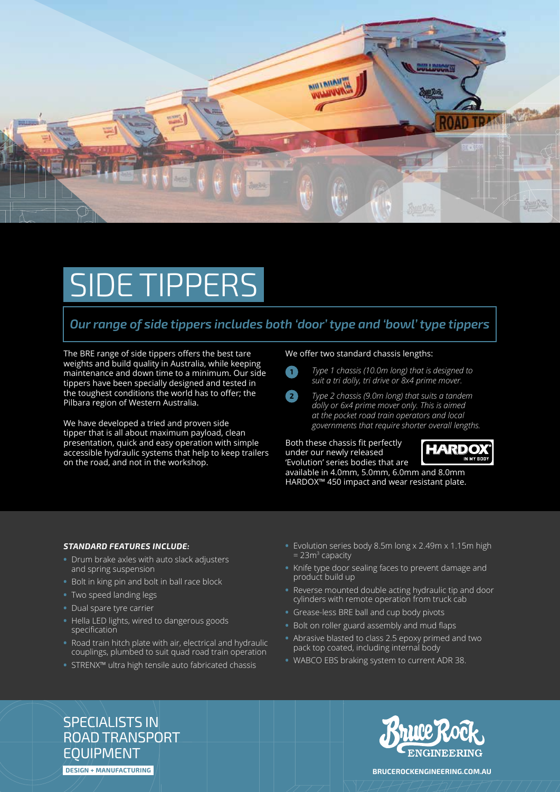

## SIDE TIPPERS

### *Our range of side tippers includes both 'door' type and 'bowl' type tippers*

The BRE range of side tippers offers the best tare weights and build quality in Australia, while keeping maintenance and down time to a minimum. Our side tippers have been specially designed and tested in the toughest conditions the world has to offer; the Pilbara region of Western Australia.

We have developed a tried and proven side tipper that is all about maximum payload, clean presentation, quick and easy operation with simple accessible hydraulic systems that help to keep trailers on the road, and not in the workshop.

### We offer two standard chassis lengths:

- **1**
- *Type 1 chassis (10.0m long) that is designed to suit a tri dolly, tri drive or 8x4 prime mover.*
- **2** *Type 2 chassis (9.0m long) that suits a tandem dolly or 6x4 prime mover only. This is aimed at the pocket road train operators and local governments that require shorter overall lengths.*

Both these chassis fit perfectly under our newly released 'Evolution' series bodies that are available in 4.0mm, 5.0mm, 6.0mm and 8.0mm



HARDOX™ 450 impact and wear resistant plate.

### *STANDARD FEATURES INCLUDE:*

- **•** Drum brake axles with auto slack adjusters and spring suspension
- **•** Bolt in king pin and bolt in ball race block
- **•** Two speed landing legs
- **•** Dual spare tyre carrier
- **•** Hella LED lights, wired to dangerous goods specification
- **•** Road train hitch plate with air, electrical and hydraulic couplings, plumbed to suit quad road train operation
- **•** STRENX™ ultra high tensile auto fabricated chassis
- **•** Evolution series body 8.5m long x 2.49m x 1.15m high = 23m<sup>3</sup> capacity
- **•** Knife type door sealing faces to prevent damage and product build up
- **•** Reverse mounted double acting hydraulic tip and door cylinders with remote operation from truck cab
- **•** Grease-less BRE ball and cup body pivots
- **•** Bolt on roller guard assembly and mud flaps
- **•** Abrasive blasted to class 2.5 epoxy primed and two pack top coated, including internal body
- **•** WABCO EBS braking system to current ADR 38.

SPECIALISTS IN ROAD TRANSPORT EQUIPMENT





**DESIGN + MANUFACTURING BRUCEROCKENGINEERING.COM.AU**